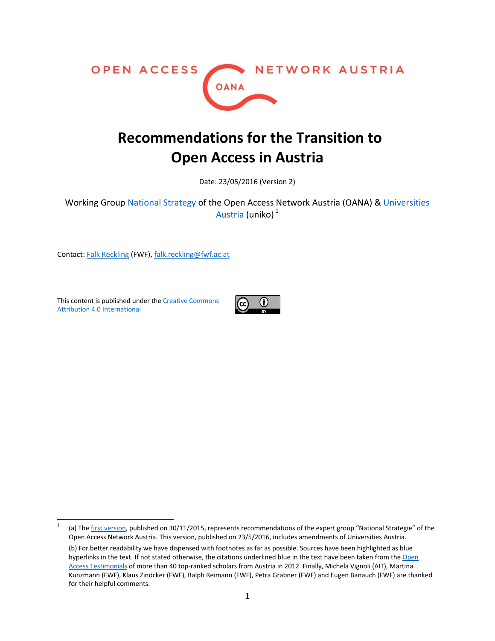

# **Recommendations for the Transition to Open Access in Austria**

Date: 23/05/2016 (Version 2)

Working Group [National Strategy](http://www.oana.at/arbeitsgruppen-2015-2016/nationale-open-access-strategie/) of the Open Access Network Austria (OANA) & [Universities](http://uniko.ac.at/index.php?lang=EN)  [Austria](http://uniko.ac.at/index.php?lang=EN) (uniko)<sup>1</sup>

Contact[: Falk Reckling](https://www.fwf.ac.at/en/about-the-fwf/organisation/fwf-team/strategy-departments/strategy-analysis/vk/freckling/) (FWF)[, falk.reckling@fwf.ac.at](mailto:falk.reckling@fwf.ac.at)

This content is published under the Creative Commons [Attribution 4.0 International](http://creativecommons.org/licenses/by/4.0/)



 $\frac{1}{1}$ (a) Th[e first version,](http://dx.doi.org/10.5281/zenodo.34079) published on 30/11/2015, represents recommendations of the expert group "National Strategie" of the Open Access Network Austria. This version, published on 23/5/2016, includes amendments of Universities Austria. (b) For better readability we have dispensed with footnotes as far as possible. Sources have been highlighted as blue hyperlinks in the text. If not stated otherwise, the citations underlined blue in the text have been taken from the Open [Access Testimonials](https://www.fwf.ac.at/en/research-funding/open-access-policy/open-access-testimonials/) of more than 40 top-ranked scholars from Austria in 2012. Finally, Michela Vignoli (AIT), Martina Kunzmann (FWF), Klaus Zinöcker (FWF), Ralph Reimann (FWF), Petra Grabner (FWF) and Eugen Banauch (FWF) are thanked for their helpful comments.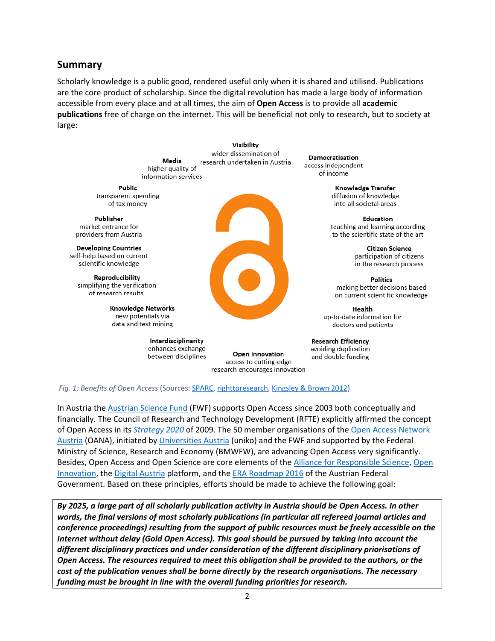## **Summary**

Scholarly knowledge is a public good, rendered useful only when it is shared and utilised. Publications are the core product of scholarship. Since the digital revolution has made a large body of information accessible from every place and at all times, the aim of **Open Access** is to provide all **academic publications** free of charge on the internet. This will be beneficial not only to research, but to society at large:

> Visibility wider dissemination of Media research undertaken in Austria higher quality of information services Public

transparent spending of tax money

Publisher market entrance for providers from Austria

**Developing Countries** self-help based on current scientific knowledge

> Reproducibility simplifying the verification of research results

> > **Knowledge Networks** new potentials via data and text mining

> > > Interdisciplinarity enhances exchange between disciplines



Open Innovation

access to cutting-edge research encourages innovation

Democratisation access independent of income

> Knowledge Transfer diffusion of knowledge into all societal areas

**Education** teaching and learning according to the scientific state of the art

> **Citizen Science** participation of citizens in the research process

**Politics** making better decisions based on current scientific knowledge

Health up-to-date information for doctors and patients

Research Efficiency avoiding duplication and double funding

*Fig. 1: Benefits of Open Access* (Sources[: SPARC,](http://www.sparc.arl.org/resources/open-access/why-oa) [righttoresearch,](http://www.righttoresearch.org/learn/whyOA/index.shtml) [Kingsley & Brown 2012\)](http://aoasg.org.au/downloadable-graphics/)

In Austria th[e Austrian Science Fund](https://www.fwf.ac.at/en/research-funding/open-access-policy/) (FWF) supports Open Access since 2003 both conceptually and financially. The Council of Research and Technology Development (RFTE) explicitly affirmed the concept of Open Access in its *[Strategy 2020](http://www.rat-fte.at/tl_files/uploads/Strategie/090824_FINALE%20VERSION_FTI-Strategie2020.pdf)* of 2009. The 50 member organisations of the [Open Access Network](http://www.oana.at/en/home/)  [Austria](http://www.oana.at/en/home/) (OANA), initiated by [Universities Austria](http://uniko.ac.at/index.php?lang=EN) (uniko) and the FWF and supported by the Federal Ministry of Science, Research and Economy (BMWFW), are advancing Open Access very significantly. Besides, Open Access and Open Science are core elements of th[e Alliance for Responsible Science,](http://www.responsiblescience.at/) [Open](http://openinnovation.gv.at/)  [Innovation,](http://openinnovation.gv.at/) the [Digital Austria](https://www.digitales.oesterreich.gv.at/site/6497/Default.aspx) platform, and the [ERA Roadmap 2016](http://era.gv.at/directory/230) of the Austrian Federal Government. Based on these principles, efforts should be made to achieve the following goal:

*By 2025, a large part of all scholarly publication activity in Austria should be Open Access. In other words, the final versions of most scholarly publications (in particular all refereed journal articles and conference proceedings) resulting from the support of public resources must be freely accessible on the Internet without delay (Gold Open Access). This goal should be pursued by taking into account the different disciplinary practices and under consideration of the different disciplinary priorisations of Open Access. The resources required to meet this obligation shall be provided to the authors, or the cost of the publication venues shall be borne directly by the research organisations. The necessary funding must be brought in line with the overall funding priorities for research.*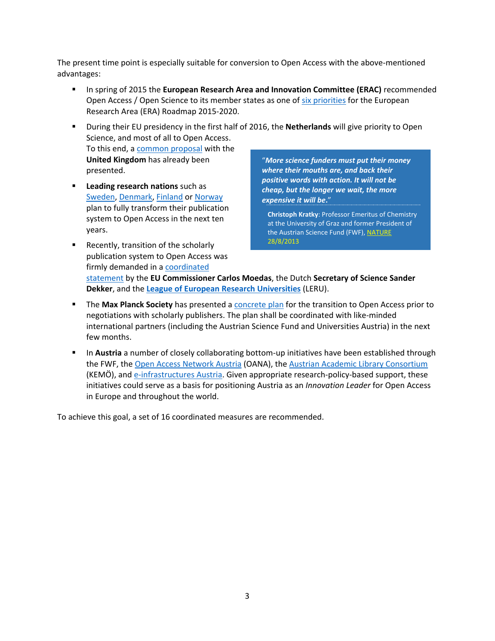The present time point is especially suitable for conversion to Open Access with the above-mentioned advantages:

- In spring of 2015 the **European Research Area and Innovation Committee (ERAC)** recommended Open Access / Open Science to its member states as one of [six priorities](http://era.gv.at/directory/230) for the European Research Area (ERA) Roadmap 2015-2020.
- "*More science funders must put their money where their mouths are, and back their*  During their EU presidency in the first half of 2016, the **Netherlands** will give priority to Open Science, and most of all to Open Access. To this end, a [common proposal](http://www.scienceguide.nl/201503/dekker-wil-europees-open-access.aspx) with the **United Kingdom** has already been presented.

*positive words with action. It will not be cheap, but the longer we wait, the more* 

**Christoph Kratky**: Professor Emeritus of Chemistry at the University of Graz and former President of the Austrian Science Fund (FWF)[, NATURE](http://www.nature.com/news/a-coordinated-approach-is-key-for-open-access-1.13610)

*expensive it will be***.**"

- **Leading research nations** such as [Sweden,](https://publikationer.vr.se/en/product/proposal-for-national-guidelines-for-open-access-to-scientific-information/) [Denmark,](http://ufm.dk/en/research-and-innovation/cooperation-between-research-and-innovation/open-science/open-access-to-research-publications) [Finland](http://openscience.fi/) or [Norway](http://www.forskningsradet.no/en/Newsarticle/A_boost_for_open_access_to_research/1253997204282) plan to fully transform their publication system to Open Access in the next ten years.
- [28/8/2013](http://www.nature.com/news/a-coordinated-approach-is-key-for-open-access-1.13610) Recently, transition of the scholarly publication system to Open Access was firmly demanded in a coordinated [statement](http://ec.europa.eu/commission/2014-2019/moedas/announcements/commissioner-moedas-and-secretary-state-dekker-call-scientific-publishers-adapt-their-business_en) by the **EU Commissioner Carlos Moedas**, the Dutch **Secretary of Science Sander Dekker**, and the **[League of European Research Universities](http://www.leru.org/index.php/public/extra/signtheLERUstatement/)** (LERU).
- The **Max Planck Society** has presented a [concrete plan](http://openaccess.mpg.de/2128132/Berlin12) for the transition to Open Access prior to negotiations with scholarly publishers. The plan shall be coordinated with like-minded international partners (including the Austrian Science Fund and Universities Austria) in the next few months.
- In **Austria** a number of closely collaborating bottom-up initiatives have been established through the FWF, the [Open Access Network Austria](http://www.oana.at/en/home/) (OANA), the [Austrian Academic Library Consortium](https://www.konsortien.at/) (KEMÖ), and [e-infrastructures Austria.](http://www.e-infrastructures.at/en/startpage/) Given appropriate research-policy-based support, these initiatives could serve as a basis for positioning Austria as an *Innovation Leader* for Open Access in Europe and throughout the world.

To achieve this goal, a set of 16 coordinated measures are recommended.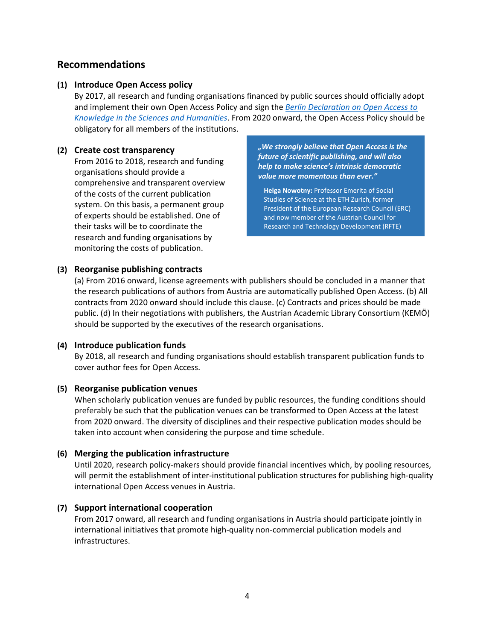# **Recommendations**

## **(1) Introduce Open Access policy**

By 2017, all research and funding organisations financed by public sources should officially adopt and implement their own Open Access Policy and sign the *[Berlin Declaration on Open Access to](http://openaccess.mpg.de/67605/berlin_declaration_engl.pdf)  [Knowledge in the Sciences and Humanities](http://openaccess.mpg.de/67605/berlin_declaration_engl.pdf)*. From 2020 onward, the Open Access Policy should be obligatory for all members of the institutions.

## **(2) Create cost transparency**

From 2016 to 2018, research and funding organisations should provide a comprehensive and transparent overview of the costs of the current publication system. On this basis, a permanent group of experts should be established. One of their tasks will be to coordinate the research and funding organisations by monitoring the costs of publication.

*"We strongly believe that Open Access is the future of scientific publishing, and will also help to make science's intrinsic democratic value more momentous than ever."*

**Helga Nowotny:** Professor Emerita of Social Studies of Science at the ETH Zurich, former President of the European Research Council (ERC) and now member of the Austrian Council for Research and Technology Development (RFTE)

## **(3) Reorganise publishing contracts**

(a) From 2016 onward, license agreements with publishers should be concluded in a manner that the research publications of authors from Austria are automatically published Open Access. (b) All contracts from 2020 onward should include this clause. (c) Contracts and prices should be made public. (d) In their negotiations with publishers, the Austrian Academic Library Consortium (KEMÖ) should be supported by the executives of the research organisations.

## **(4) Introduce publication funds**

By 2018, all research and funding organisations should establish transparent publication funds to cover author fees for Open Access.

#### **(5) Reorganise publication venues**

When scholarly publication venues are funded by public resources, the funding conditions should preferably be such that the publication venues can be transformed to Open Access at the latest from 2020 onward. The diversity of disciplines and their respective publication modes should be taken into account when considering the purpose and time schedule.

## **(6) Merging the publication infrastructure**

Until 2020, research policy-makers should provide financial incentives which, by pooling resources, will permit the establishment of inter-institutional publication structures for publishing high-quality international Open Access venues in Austria.

## **(7) Support international cooperation**

From 2017 onward, all research and funding organisations in Austria should participate jointly in international initiatives that promote high-quality non-commercial publication models and infrastructures.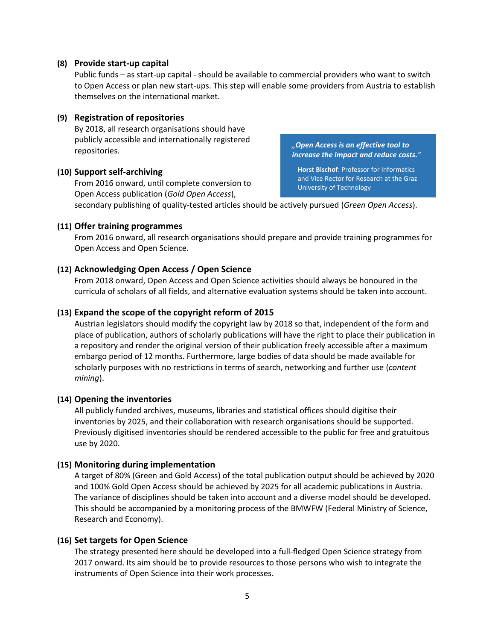#### **(8) Provide start-up capital**

Public funds – as start-up capital - should be available to commercial providers who want to switch to Open Access or plan new start-ups. This step will enable some providers from Austria to establish themselves on the international market.

#### **(9) Registration of repositories**

By 2018, all research organisations should have publicly accessible and internationally registered repositories.

#### **(10) Support self-archiving**

From 2016 onward, until complete conversion to Open Access publication (*Gold Open Access*),

*"Open Access is an effective tool to increase the impact and reduce costs."* 

**Horst Bischof**: Professor for Informatics and Vice Rector for Research at the Graz University of Technology

secondary publishing of quality-tested articles should be actively pursued (*Green Open Access*).

#### **(11) Offer training programmes**

From 2016 onward, all research organisations should prepare and provide training programmes for Open Access and Open Science.

#### **(12) Acknowledging Open Access / Open Science**

From 2018 onward, Open Access and Open Science activities should always be honoured in the curricula of scholars of all fields, and alternative evaluation systems should be taken into account.

#### **(13) Expand the scope of the copyright reform of 2015**

Austrian legislators should modify the copyright law by 2018 so that, independent of the form and place of publication, authors of scholarly publications will have the right to place their publication in a repository and render the original version of their publication freely accessible after a maximum embargo period of 12 months. Furthermore, large bodies of data should be made available for scholarly purposes with no restrictions in terms of search, networking and further use (*content mining*).

#### **(14) Opening the inventories**

All publicly funded archives, museums, libraries and statistical offices should digitise their inventories by 2025, and their collaboration with research organisations should be supported. Previously digitised inventories should be rendered accessible to the public for free and gratuitous use by 2020.

#### **(15) Monitoring during implementation**

A target of 80% (Green and Gold Access) of the total publication output should be achieved by 2020 and 100% Gold Open Access should be achieved by 2025 for all academic publications in Austria. The variance of disciplines should be taken into account and a diverse model should be developed. This should be accompanied by a monitoring process of the BMWFW (Federal Ministry of Science, Research and Economy).

#### **(16) Set targets for Open Science**

The strategy presented here should be developed into a full-fledged Open Science strategy from 2017 onward. Its aim should be to provide resources to those persons who wish to integrate the instruments of Open Science into their work processes.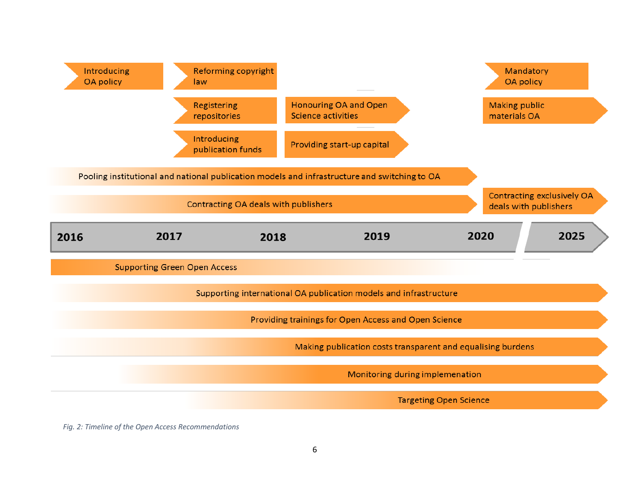

*Fig. 2: Timeline of the Open Access Recommendations*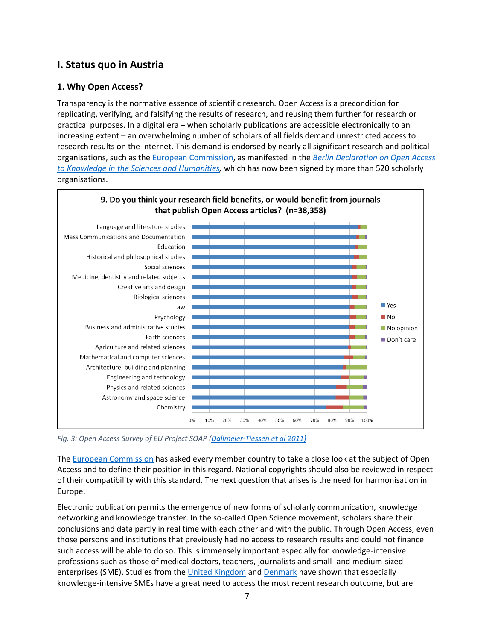# **I. Status quo in Austria**

## **1. Why Open Access?**

Transparency is the normative essence of scientific research. Open Access is a precondition for replicating, verifying, and falsifying the results of research, and reusing them further for research or practical purposes. In a digital era – when scholarly publications are accessible electronically to an increasing extent – an overwhelming number of scholars of all fields demand unrestricted access to research results on the internet. This demand is endorsed by nearly all significant research and political organisations, such as th[e European Commission,](https://ec.europa.eu/research/science-society/document_library/pdf_06/recommendation-access-and-preservation-scientific-information_en.pdf) as manifested in the *[Berlin Declaration on Open Access](http://openaccess.mpg.de/3883/Signatories)  [to Knowledge in the Sciences and Humanities,](http://openaccess.mpg.de/3883/Signatories)* which has now been signed by more than 520 scholarly organisations.



*Fig. 3: Open Access Survey of EU Project SOAP [\(Dallmeier-Tiessen et al 2011\)](http://arxiv.org/abs/1101.5260)*

The [European Commission](http://data.consilium.europa.eu/doc/document/ST-1208-2015-INIT/en/pdf) has asked every member country to take a close look at the subject of Open Access and to define their position in this regard. National copyrights should also be reviewed in respect of their compatibility with this standard. The next question that arises is the need for harmonisation in Europe.

Electronic publication permits the emergence of new forms of scholarly communication, knowledge networking and knowledge transfer. In the so-called Open Science movement, scholars share their conclusions and data partly in real time with each other and with the public. Through Open Access, even those persons and institutions that previously had no access to research results and could not finance such access will be able to do so. This is immensely important especially for knowledge-intensive professions such as those of medical doctors, teachers, journalists and small- and medium-sized enterprises (SME). Studies from the [United Kingdom](http://publishingresearchconsortium.com/index.php/111-prc-projects/research-reports/sme-access-research-report/141-access-by-uk-small-and-medium-sized-enterprises-to-professional-and-academic-information) and [Denmark](http://www.deff.dk/uploads/media/Access_to_Research_and_Technical_Information_in_Denmark.pdf) have shown that especially knowledge-intensive SMEs have a great need to access the most recent research outcome, but are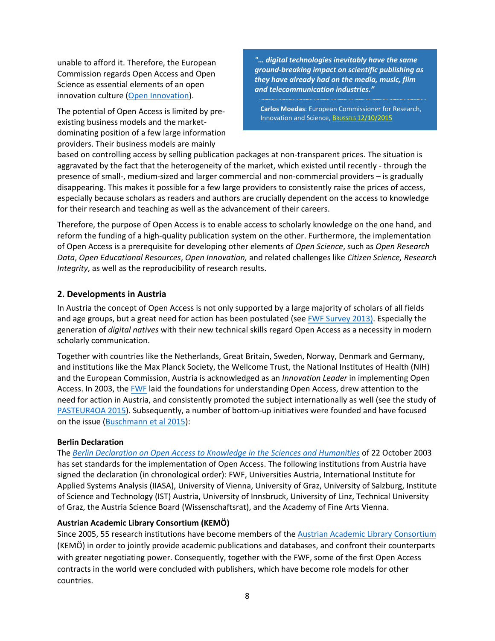unable to afford it. Therefore, the European Commission regards Open Access and Open Science as essential elements of an open innovation culture [\(Open Innovation\)](https://ec.europa.eu/digital-agenda/en/growth-jobs/open-innovation).

The potential of Open Access is limited by preexisting business models and the marketdominating position of a few large information providers. Their business models are mainly

*"… digital technologies inevitably have the same ground-breaking impact on scientific publishing as they have already had on the media, music, film and telecommunication industries."*

**Carlos Moedas**: European Commissioner for Research, Innovation and Science, BRUSSELS [12/10/2015](http://ec.europa.eu/commission/2014-2019/moedas/announcements/commissioner-moedas-and-secretary-state-dekker-call-scientific-publishers-adapt-their-business_en)

based on controlling access by selling publication packages at non-transparent prices. The situation is aggravated by the fact that the heterogeneity of the market, which existed until recently - through the presence of small-, medium-sized and larger commercial and non-commercial providers – is gradually disappearing. This makes it possible for a few large providers to consistently raise the prices of access, especially because scholars as readers and authors are crucially dependent on the access to knowledge for their research and teaching as well as the advancement of their careers.

Therefore, the purpose of Open Access is to enable access to scholarly knowledge on the one hand, and reform the funding of a high-quality publication system on the other. Furthermore, the implementation of Open Access is a prerequisite for developing other elements of *Open Science*, such as *Open Research Data*, *Open Educational Resources*, *Open Innovation,* and related challenges like *Citizen Science, Research Integrity*, as well as the reproducibility of research results.

## **2. Developments in Austria**

In Austria the concept of Open Access is not only supported by a large majority of scholars of all fields and age groups, but a great need for action has been postulated (see [FWF Survey 2013\)](https://www.fwf.ac.at/en/news-and-media-relations/news/detail/nid/20150114-2101/?tx_rsmnews_detail%5Bref%5D=l&cHash=ce76a9578129fd3e652596d1accf034d). Especially the generation of *digital natives* with their new technical skills regard Open Access as a necessity in modern scholarly communication.

Together with countries like the Netherlands, Great Britain, Sweden, Norway, Denmark and Germany, and institutions like the Max Planck Society, the Wellcome Trust, the National Institutes of Health (NIH) and the European Commission, Austria is acknowledged as an *Innovation Leader* in implementing Open Access. In 2003, the [FWF](https://www.fwf.ac.at/en/research-funding/open-access-policy/) laid the foundations for understanding Open Access, drew attention to the need for action in Austria, and consistently promoted the subject internationally as well (see the study of [PASTEUR4OA 2015\)](http://www.pasteur4oa.eu/sites/pasteur4oa/files/resource/FWF-OA-Policy-Case-Study-7-Nov-2015-final.pdf). Subsequently, a number of bottom-up initiatives were founded and have focused on the issue [\(Buschmann et al 2015\)](http://dx.doi.org/10.5281/zenodo.16511):

#### **Berlin Declaration**

The *[Berlin Declaration on Open Access to Knowledge in the Sciences and Humanities](http://openaccess.mpg.de/Berliner-Erklaerung)* of 22 October 2003 has set standards for the implementation of Open Access. The following institutions from Austria have signed the declaration (in chronological order): FWF, Universities Austria, International Institute for Applied Systems Analysis (IIASA), University of Vienna, University of Graz, University of Salzburg, Institute of Science and Technology (IST) Austria, University of Innsbruck, University of Linz, Technical University of Graz, the Austria Science Board (Wissenschaftsrat), and the Academy of Fine Arts Vienna.

#### **Austrian Academic Library Consortium (KEMÖ)**

Since 2005, 55 research institutions have become members of the [Austrian Academic Library Consortium](http://www.konsortien.at/) (KEMÖ) in order to jointly provide academic publications and databases, and confront their counterparts with greater negotiating power. Consequently, together with the FWF, some of the first Open Access contracts in the world were concluded with publishers, which have become role models for other countries.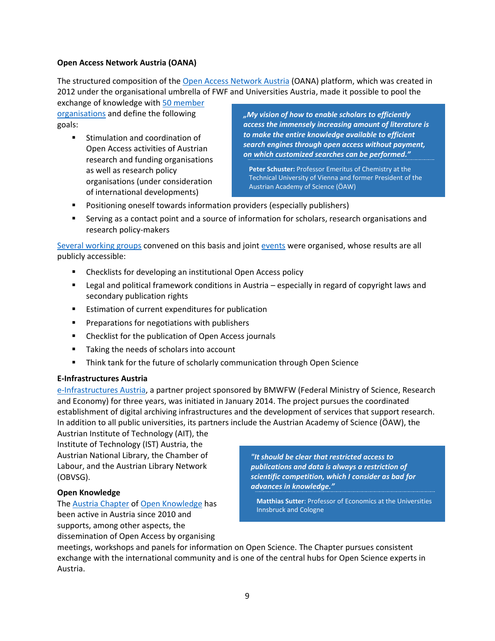## **Open Access Network Austria (OANA)**

The structured composition of the [Open Access Network Austria](http://www.oana.at/en/home/) (OANA) platform, which was created in 2012 under the organisational umbrella of FWF and Universities Austria, made it possible to pool the

exchange of knowledge with [50 member](http://www.oana.at/en/contact-persons/)  [organisations](http://www.oana.at/en/contact-persons/) and define the following goals:

 Stimulation and coordination of Open Access activities of Austrian research and funding organisations as well as research policy organisations (under consideration of international developments)

*"My vision of how to enable scholars to efficiently access the immensely increasing amount of literature is to make the entire knowledge available to efficient search engines through open access without payment, on which customized searches can be performed."*

**Peter Schuster:** Professor Emeritus of Chemistry at the Technical University of Vienna and former President of the Austrian Academy of Science (ÖAW)

- Positioning oneself towards information providers (especially publishers)
- Serving as a contact point and a source of information for scholars, research organisations and research policy-makers

[Several working groups](http://www.oana.at/arbeitsgruppen-2014-2015/) convened on this basis and joint [events](http://www.oana.at/veranstaltungen/) were organised, whose results are all publicly accessible:

- Checklists for developing an institutional Open Access policy
- Legal and political framework conditions in Austria especially in regard of copyright laws and secondary publication rights
- **Example 1** Estimation of current expenditures for publication
- **Preparations for negotiations with publishers**
- Checklist for the publication of Open Access journals
- Taking the needs of scholars into account
- Think tank for the future of scholarly communication through Open Science

#### **E-Infrastructures Austria**

[e-Infrastructures Austria,](https://www.e-infrastructures.at/en/startpage/) a partner project sponsored by BMWFW (Federal Ministry of Science, Research and Economy) for three years, was initiated in January 2014. The project pursues the coordinated establishment of digital archiving infrastructures and the development of services that support research. In addition to all public universities, its partners include the Austrian Academy of Science (ÖAW), the

Austrian Institute of Technology (AIT), the Institute of Technology (IST) Austria, the Austrian National Library, the Chamber of Labour, and the Austrian Library Network (OBVSG).

#### **Open Knowledge**

The [Austria Chapter](http://okfn.at/) of [Open Knowledge](https://okfn.org/) has been active in Austria since 2010 and supports, among other aspects, the

dissemination of Open Access by organising

*"It should be clear that restricted access to publications and data is always a restriction of scientific competition, which I consider as bad for advances in knowledge."*

**Matthias Sutter**: Professor of Economics at the Universities Innsbruck and Cologne

meetings, workshops and panels for information on Open Science. The Chapter pursues consistent exchange with the international community and is one of the central hubs for Open Science experts in Austria.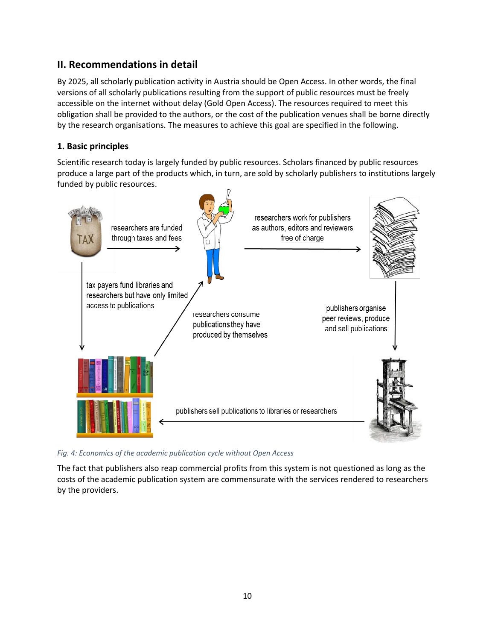# **II. Recommendations in detail**

By 2025, all scholarly publication activity in Austria should be Open Access. In other words, the final versions of all scholarly publications resulting from the support of public resources must be freely accessible on the internet without delay (Gold Open Access). The resources required to meet this obligation shall be provided to the authors, or the cost of the publication venues shall be borne directly by the research organisations. The measures to achieve this goal are specified in the following.

# **1. Basic principles**

Scientific research today is largely funded by public resources. Scholars financed by public resources produce a large part of the products which, in turn, are sold by scholarly publishers to institutions largely funded by public resources.



*Fig. 4: Economics of the academic publication cycle without Open Access*

The fact that publishers also reap commercial profits from this system is not questioned as long as the costs of the academic publication system are commensurate with the services rendered to researchers by the providers.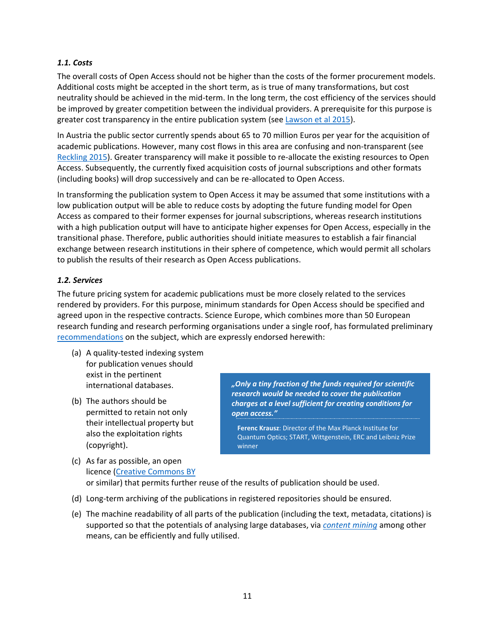#### *1.1. Costs*

The overall costs of Open Access should not be higher than the costs of the former procurement models. Additional costs might be accepted in the short term, as is true of many transformations, but cost neutrality should be achieved in the mid-term. In the long term, the cost efficiency of the services should be improved by greater competition between the individual providers. A prerequisite for this purpose is greater cost transparency in the entire publication system (see [Lawson et al 2015\)](http://papers.ssrn.com/sol3/papers.cfm?abstract_id=2690570).

In Austria the public sector currently spends about 65 to 70 million Euros per year for the acquisition of academic publications. However, many cost flows in this area are confusing and non-transparent (see [Reckling 2015\)](http://dx.doi.org/10.5281/zenodo.18338). Greater transparency will make it possible to re-allocate the existing resources to Open Access. Subsequently, the currently fixed acquisition costs of journal subscriptions and other formats (including books) will drop successively and can be re-allocated to Open Access.

In transforming the publication system to Open Access it may be assumed that some institutions with a low publication output will be able to reduce costs by adopting the future funding model for Open Access as compared to their former expenses for journal subscriptions, whereas research institutions with a high publication output will have to anticipate higher expenses for Open Access, especially in the transitional phase. Therefore, public authorities should initiate measures to establish a fair financial exchange between research institutions in their sphere of competence, which would permit all scholars to publish the results of their research as Open Access publications.

#### *1.2. Services*

The future pricing system for academic publications must be more closely related to the services rendered by providers. For this purpose, minimum standards for Open Access should be specified and agreed upon in the respective contracts. Science Europe, which combines more than 50 European research funding and research performing organisations under a single roof, has formulated preliminary [recommendations](http://www.scienceeurope.org/uploads/PressReleases/270415_Open_Access_New_Principles.pdf) on the subject, which are expressly endorsed herewith:

- (a) A quality-tested indexing system for publication venues should exist in the pertinent international databases.
- (b) The authors should be permitted to retain not only their intellectual property but also the exploitation rights (copyright).

*"Only a tiny fraction of the funds required for scientific research would be needed to cover the publication charges at a level sufficient for creating conditions for open access."*

**Ferenc Krausz**: Director of the Max Planck Institute for Quantum Optics; START, Wittgenstein, ERC and Leibniz Prize winner

- (c) As far as possible, an open licence [\(Creative Commons BY](https://creativecommons.org/licenses/by/4.0/) or similar) that permits further reuse of the results of publication should be used.
- (d) Long-term archiving of the publications in registered repositories should be ensured.
- (e) The machine readability of all parts of the publication (including the text, metadata, citations) is supported so that the potentials of analysing large databases, via *[content mining](http://www.scienceeurope.org/uploads/PublicDocumentsAndSpeeches/WGs_docs/SE_Briefing_Paper_textand_Data_web.pdf)* among other means, can be efficiently and fully utilised.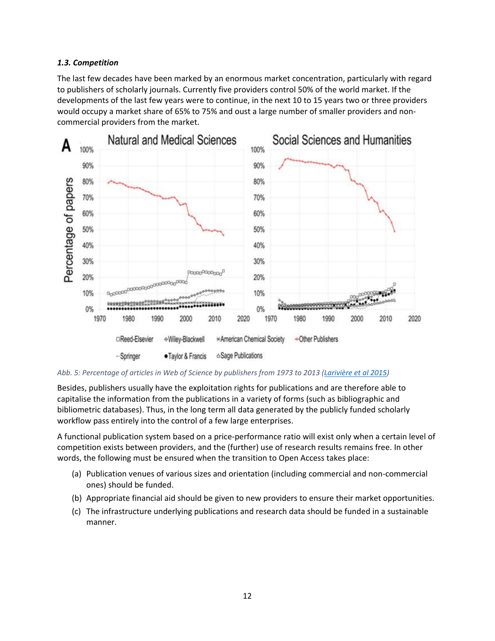## *1.3. Competition*

The last few decades have been marked by an enormous market concentration, particularly with regard to publishers of scholarly journals. Currently five providers control 50% of the world market. If the developments of the last few years were to continue, in the next 10 to 15 years two or three providers would occupy a market share of 65% to 75% and oust a large number of smaller providers and noncommercial providers from the market.



*Abb. 5: Percentage of articles in Web of Science by publishers from 1973 to 2013 [\(Larivière et al 2015\)](http://journals.plos.org/plosone/article?id=10.1371/journal.pone.0127502)*

Besides, publishers usually have the exploitation rights for publications and are therefore able to capitalise the information from the publications in a variety of forms (such as bibliographic and bibliometric databases). Thus, in the long term all data generated by the publicly funded scholarly workflow pass entirely into the control of a few large enterprises.

A functional publication system based on a price-performance ratio will exist only when a certain level of competition exists between providers, and the (further) use of research results remains free. In other words, the following must be ensured when the transition to Open Access takes place:

- (a) Publication venues of various sizes and orientation (including commercial and non-commercial ones) should be funded.
- (b) Appropriate financial aid should be given to new providers to ensure their market opportunities.
- (c) The infrastructure underlying publications and research data should be funded in a sustainable manner.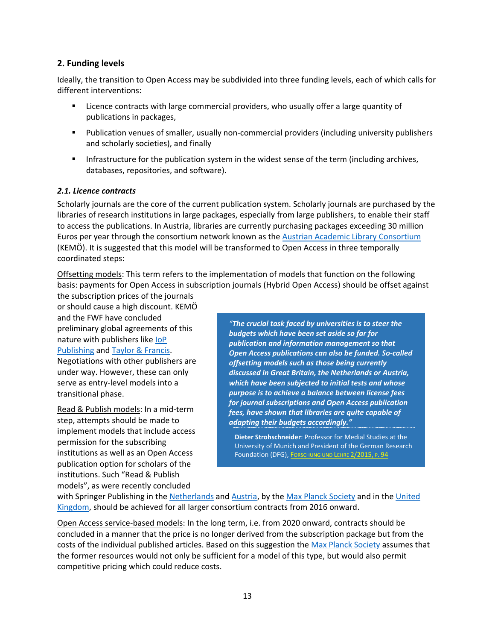## **2. Funding levels**

Ideally, the transition to Open Access may be subdivided into three funding levels, each of which calls for different interventions:

- Licence contracts with large commercial providers, who usually offer a large quantity of publications in packages,
- Publication venues of smaller, usually non-commercial providers (including university publishers and scholarly societies), and finally
- **Infrastructure for the publication system in the widest sense of the term (including archives,** databases, repositories, and software).

#### *2.1. Licence contracts*

Scholarly journals are the core of the current publication system. Scholarly journals are purchased by the libraries of research institutions in large packages, especially from large publishers, to enable their staff to access the publications. In Austria, libraries are currently purchasing packages exceeding 30 million Euros per year through the consortium network known as the [Austrian Academic Library Consortium](https://www.konsortien.at/ssl/) (KEMÖ). It is suggested that this model will be transformed to Open Access in three temporally coordinated steps:

Offsetting models: This term refers to the implementation of models that function on the following basis: payments for Open Access in subscription journals (Hybrid Open Access) should be offset against

the subscription prices of the journals or should cause a high discount. KEMÖ and the FWF have concluded preliminary global agreements of this nature with publishers like [IoP](http://iopscience.iop.org/info/page/openaccess-austria)  [Publishing](http://iopscience.iop.org/info/page/openaccess-austria) an[d Taylor & Francis.](http://newsroom.taylorandfrancisgroup.com/news/press-release/new-open-access-offset-agreement-for-austria#.Vjh6NR7bJ2M) Negotiations with other publishers are under way. However, these can only

serve as entry-level models into a transitional phase.

Read & Publish models: In a mid-term step, attempts should be made to implement models that include access permission for the subscribing institutions as well as an Open Access publication option for scholars of the institutions. Such "Read & Publish models", as were recently concluded

*"The crucial task faced by universities is to steer the budgets which have been set aside so far for publication and information management so that Open Access publications can also be funded. So-called offsetting models such as those being currently discussed in Great Britain, the Netherlands or Austria, which have been subjected to initial tests and whose purpose is to achieve a balance between license fees for journal subscriptions and Open Access publication fees, have shown that libraries are quite capable of adapting their budgets accordingly."*

**Dieter Strohschneider**: Professor for Medial Studies at the University of Munich and President of the German Research Foundation (DFG), F[ORSCHUNG UND](http://www.forschung-und-lehre.de/wordpress/Archiv/2015/ful_02-2015.pdf#page=12) LEHRE 2/2015, P. 94

with Springer Publishing in th[e Netherlands](http://www.springer.com/gp/about-springer/media/press-releases/corporate/springer-and-dutch-universities-reach-wide-ranging-agreement-on-access/40938) and [Austria,](http://scilog.fwf.ac.at/en/article/2835/open-access-publishing-at-springer) by the [Max Planck Society](https://www.mpg.de/9709881/oa-max-planck-society-springer) and in the United [Kingdom,](https://www.jisc.ac.uk/news/springer-and-jisc-reach-agreement-31-mar-2015) should be achieved for all larger consortium contracts from 2016 onward.

Open Access service-based models: In the long term, i.e. from 2020 onward, contracts should be concluded in a manner that the price is no longer derived from the subscription package but from the costs of the individual published articles. Based on this suggestion the [Max Planck Society](http://pubman.mpdl.mpg.de/pubman/item/escidoc:2148961:7/component/escidoc:2149096/MPDL_OA-Transition_White_Paper.pdf) assumes that the former resources would not only be sufficient for a model of this type, but would also permit competitive pricing which could reduce costs.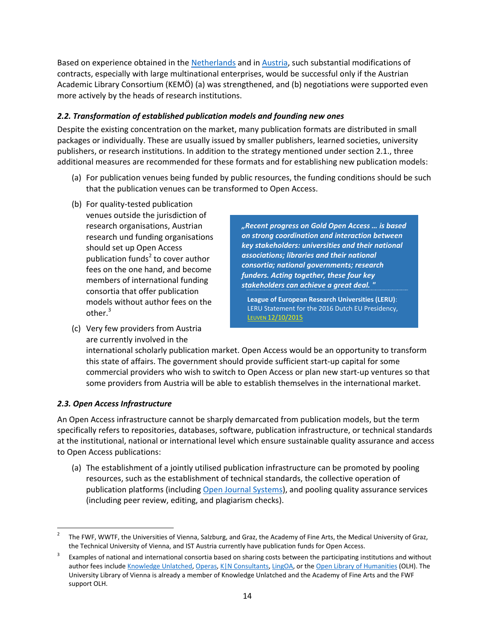Based on experience obtained in th[e Netherlands](http://www.vsnu.nl/en_GB/openaccess-eng.html) and in [Austria,](http://scilog.fwf.ac.at/en/article/2835/open-access-publishing-at-springer) such substantial modifications of contracts, especially with large multinational enterprises, would be successful only if the Austrian Academic Library Consortium (KEMÖ) (a) was strengthened, and (b) negotiations were supported even more actively by the heads of research institutions.

## *2.2. Transformation of established publication models and founding new ones*

Despite the existing concentration on the market, many publication formats are distributed in small packages or individually. These are usually issued by smaller publishers, learned societies, university publishers, or research institutions. In addition to the strategy mentioned under section 2.1., three additional measures are recommended for these formats and for establishing new publication models:

- (a) For publication venues being funded by public resources, the funding conditions should be such that the publication venues can be transformed to Open Access.
- (b) For quality-tested publication venues outside the jurisdiction of research organisations, Austrian research und funding organisations should set up Open Access publication funds<sup>2</sup> to cover author fees on the one hand, and become members of international funding consortia that offer publication models without author fees on the other. 3
- (c) Very few providers from Austria are currently involved in the

*"Recent progress on Gold Open Access … is based on strong coordination and interaction between key stakeholders: universities and their national associations; libraries and their national consortia; national governments; research funders. Acting together, these four key stakeholders can achieve a great deal. "*

**League of European Research Universities (LERU)**: LERU Statement for the 2016 Dutch EU Presidency, LEUVEN [12/10/2015](http://www.leru.org/index.php/public/extra/signtheLERUstatement/)

international scholarly publication market. Open Access would be an opportunity to transform this state of affairs. The government should provide sufficient start-up capital for some commercial providers who wish to switch to Open Access or plan new start-up ventures so that some providers from Austria will be able to establish themselves in the international market.

## *2.3. Open Access Infrastructure*

An Open Access infrastructure cannot be sharply demarcated from publication models, but the term specifically refers to repositories, databases, software, publication infrastructure, or technical standards at the institutional, national or international level which ensure sustainable quality assurance and access to Open Access publications:

(a) The establishment of a jointly utilised publication infrastructure can be promoted by pooling resources, such as the establishment of technical standards, the collective operation of publication platforms (including [Open Journal Systems\)](https://pkp.sfu.ca/ojs/), and pooling quality assurance services (including peer review, editing, and plagiarism checks).

 $\overline{a}$ 2 The FWF, WWTF, the Universities of Vienna, Salzburg, and Graz, the Academy of Fine Arts, the Medical University of Graz, the Technical University of Vienna, and IST Austria currently have publication funds for Open Access.

<sup>3</sup> Examples of national and international consortia based on sharing costs between the participating institutions and without author fees includ[e Knowledge Unlatched,](http://www.knowledgeunlatched.org/) [Operas,](http://operas.hypotheses.org/) [K|N Consultants,](http://knconsultants.org/toward-a-sustainable-approach-to-open-access-publishing-and-archiving/) [LingOA,](http://vsnu.nl/en_GB/news-items.html/nieuwsbericht/231) or th[e Open Library of Humanities](https://about.openlibhums.org/get-involved/supporting-institutions/) (OLH). The University Library of Vienna is already a member of Knowledge Unlatched and the Academy of Fine Arts and the FWF support OLH.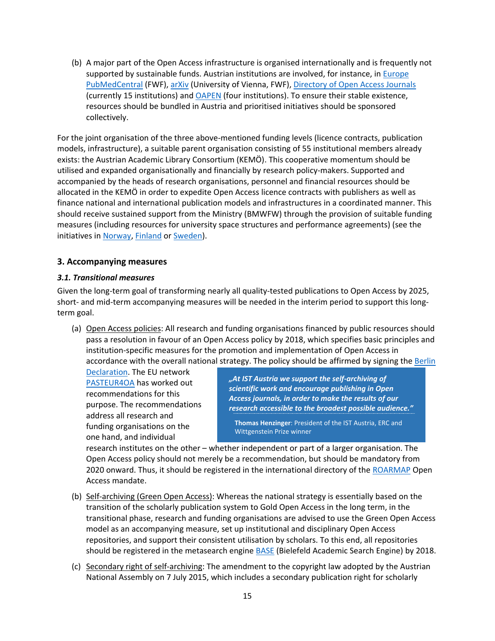(b) A major part of the Open Access infrastructure is organised internationally and is frequently not supported by sustainable funds. Austrian institutions are involved, for instance, in [Europe](https://europepmc.org/Funders/)  [PubMedCentral](https://europepmc.org/Funders/) (FWF), [arXiv](https://confluence.cornell.edu/pages/viewpage.action;jsessionid=F062BBE41DF251219B7B2D9DC9CA0C5B?pageId=174295285) (University of Vienna, FWF), [Directory of Open Access Journals](http://www.fwf.ac.at/en/news-and-media-relations/news/detail/nid/20151019-2151/) (currently 15 institutions) and [OAPEN](http://www.oapen.org/home) (four institutions). To ensure their stable existence, resources should be bundled in Austria and prioritised initiatives should be sponsored collectively.

For the joint organisation of the three above-mentioned funding levels (licence contracts, publication models, infrastructure), a suitable parent organisation consisting of 55 institutional members already exists: the Austrian Academic Library Consortium (KEMÖ). This cooperative momentum should be utilised and expanded organisationally and financially by research policy-makers. Supported and accompanied by the heads of research organisations, personnel and financial resources should be allocated in the KEMÖ in order to expedite Open Access licence contracts with publishers as well as finance national and international publication models and infrastructures in a coordinated manner. This should receive sustained support from the Ministry (BMWFW) through the provision of suitable funding measures (including resources for university space structures and performance agreements) (see the initiatives in [Norway,](http://www.forskningsradet.no/en/Newsarticle/A_boost_for_open_access_to_research/1253997204282) [Finland](http://nopos.eu/index.php/nopos/article/view/3622) or [Sweden\)](http://www.kriterium.se/).

## **3. Accompanying measures**

#### *3.1. Transitional measures*

Given the long-term goal of transforming nearly all quality-tested publications to Open Access by 2025, short- and mid-term accompanying measures will be needed in the interim period to support this longterm goal.

(a) Open Access policies: All research and funding organisations financed by public resources should pass a resolution in favour of an Open Access policy by 2018, which specifies basic principles and institution-specific measures for the promotion and implementation of Open Access in accordance with the overall national strategy. The policy should be affirmed by signing the Berlin

[Declaration.](http://openaccess.mpg.de/3883/Signatories) The EU network [PASTEUR4OA](http://www.pasteur4oa.eu/resources) has worked out recommendations for this purpose. The recommendations address all research and funding organisations on the one hand, and individual

*"At IST Austria we support the self-archiving of scientific work and encourage publishing in Open Access journals, in order to make the results of our research accessible to the broadest possible audience."*

**Thomas Henzinger**: President of the IST Austria, ERC and Wittgenstein Prize winner

research institutes on the other – whether independent or part of a larger organisation. The Open Access policy should not merely be a recommendation, but should be mandatory from 2020 onward. Thus, it should be registered in the international directory of the [ROARMAP](http://roarmap.eprints.org/) Open Access mandate.

- (b) Self-archiving (Green Open Access): Whereas the national strategy is essentially based on the transition of the scholarly publication system to Gold Open Access in the long term, in the transitional phase, research and funding organisations are advised to use the Green Open Access model as an accompanying measure, set up institutional and disciplinary Open Access repositories, and support their consistent utilisation by scholars. To this end, all repositories should be registered in the metasearch engin[e BASE](https://www.base-search.net/about/de/faq.php?#requirements) (Bielefeld Academic Search Engine) by 2018.
- (c) Secondary right of self-archiving: The amendment to the copyright law adopted by the Austrian National Assembly on 7 July 2015, which includes a secondary publication right for scholarly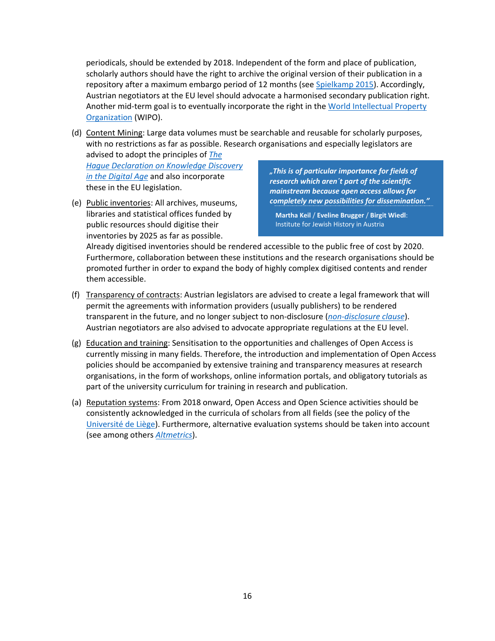periodicals, should be extended by 2018. Independent of the form and place of publication, scholarly authors should have the right to archive the original version of their publication in a repository after a maximum embargo period of 12 months (see [Spielkamp 2015\)](http://irights-lab.de/assets/Uploads/Documents/Publications/zweitveroeffentlichungsrecht-20150425.pdf). Accordingly, Austrian negotiators at the EU level should advocate a harmonised secondary publication right. Another mid-term goal is to eventually incorporate the right in the World Intellectual Property [Organization](http://www.wipo.int/portal/en/index.html) (WIPO).

(d) Content Mining: Large data volumes must be searchable and reusable for scholarly purposes, with no restrictions as far as possible. Research organisations and especially legislators are advised to adopt the principles of *[The](http://thehaguedeclaration.com/the-hague-declaration-on-knowledge-discovery-in-the-digital-age/)* 

*[Hague Declaration on Knowledge Discovery](http://thehaguedeclaration.com/the-hague-declaration-on-knowledge-discovery-in-the-digital-age/)  [in the Digital Age](http://thehaguedeclaration.com/the-hague-declaration-on-knowledge-discovery-in-the-digital-age/)* and also incorporate these in the EU legislation.

(e) Public inventories: All archives, museums, libraries and statistical offices funded by public resources should digitise their inventories by 2025 as far as possible.

*"This is of particular importance for fields of research which aren´t part of the scientific mainstream because open access allows for completely new possibilities for dissemination."*

**Martha Keil** / **Eveline Brugger** / **Birgit Wiedl**: Institute for Jewish History in Austria

Already digitised inventories should be rendered accessible to the public free of cost by 2020. Furthermore, collaboration between these institutions and the research organisations should be promoted further in order to expand the body of highly complex digitised contents and render them accessible.

- (f) Transparency of contracts: Austrian legislators are advised to create a legal framework that will permit the agreements with information providers (usually publishers) to be rendered transparent in the future, and no longer subject to non-disclosure (*[non-disclosure clause](https://www.library.cornell.edu/about/inside/policies/nondisclosure)*). Austrian negotiators are also advised to advocate appropriate regulations at the EU level.
- (g) Education and training: Sensitisation to the opportunities and challenges of Open Access is currently missing in many fields. Therefore, the introduction and implementation of Open Access policies should be accompanied by extensive training and transparency measures at research organisations, in the form of workshops, online information portals, and obligatory tutorials as part of the university curriculum for training in research and publication.
- (a) Reputation systems: From 2018 onward, Open Access and Open Science activities should be consistently acknowledged in the curricula of scholars from all fields (see the policy of the [Université de Liège\)](http://www.researchresearch.com/index.php?articleId=1354635&option=com_news&template=rr_2col&view=article). Furthermore, alternative evaluation systems should be taken into account (see among others *[Altmetrics](http://altmetrics.org/manifesto/)*).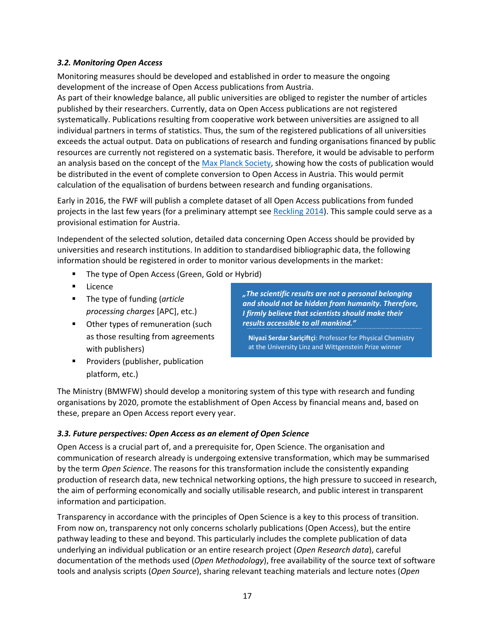#### *3.2. Monitoring Open Access*

Monitoring measures should be developed and established in order to measure the ongoing development of the increase of Open Access publications from Austria.

As part of their knowledge balance, all public universities are obliged to register the number of articles published by their researchers. Currently, data on Open Access publications are not registered systematically. Publications resulting from cooperative work between universities are assigned to all individual partners in terms of statistics. Thus, the sum of the registered publications of all universities exceeds the actual output. Data on publications of research and funding organisations financed by public resources are currently not registered on a systematic basis. Therefore, it would be advisable to perform an analysis based on the concept of the [Max Planck Society,](http://pure.mpg.de/pubman/faces/viewItemOverviewPage.jsp?itemId=escidoc:2148921) showing how the costs of publication would be distributed in the event of complete conversion to Open Access in Austria. This would permit calculation of the equalisation of burdens between research and funding organisations.

Early in 2016, the FWF will publish a complete dataset of all Open Access publications from funded projects in the last few years (for a preliminary attempt see [Reckling 2014\)](https://www.fwf.ac.at/de/forschungsfoerderung/open-access-policy/monitoring-open-access/). This sample could serve as a provisional estimation for Austria.

Independent of the selected solution, detailed data concerning Open Access should be provided by universities and research institutions. In addition to standardised bibliographic data, the following information should be registered in order to monitor various developments in the market:

- The type of Open Access (Green, Gold or Hybrid)
- $Licence$
- The type of funding (*article processing charges* [APC], etc.)
- **•** Other types of remuneration (such as those resulting from agreements with publishers)

*"The scientific results are not a personal belonging and should not be hidden from humanity. Therefore, I firmly believe that scientists should make their results accessible to all mankind."*

**Niyazi Serdar Sariçiftçi**: Professor for Physical Chemistry at the University Linz and Wittgenstein Prize winner

**Providers (publisher, publication** platform, etc.)

The Ministry (BMWFW) should develop a monitoring system of this type with research and funding organisations by 2020, promote the establishment of Open Access by financial means and, based on these, prepare an Open Access report every year.

## *3.3. Future perspectives: Open Access as an element of Open Science*

Open Access is a crucial part of, and a prerequisite for, Open Science. The organisation and communication of research already is undergoing extensive transformation, which may be summarised by the term *Open Science*. The reasons for this transformation include the consistently expanding production of research data, new technical networking options, the high pressure to succeed in research, the aim of performing economically and socially utilisable research, and public interest in transparent information and participation.

Transparency in accordance with the principles of Open Science is a key to this process of transition. From now on, transparency not only concerns scholarly publications (Open Access), but the entire pathway leading to these and beyond. This particularly includes the complete publication of data underlying an individual publication or an entire research project (*Open Research data*), careful documentation of the methods used (*Open Methodology*), free availability of the source text of software tools and analysis scripts (*Open Source*), sharing relevant teaching materials and lecture notes (*Open*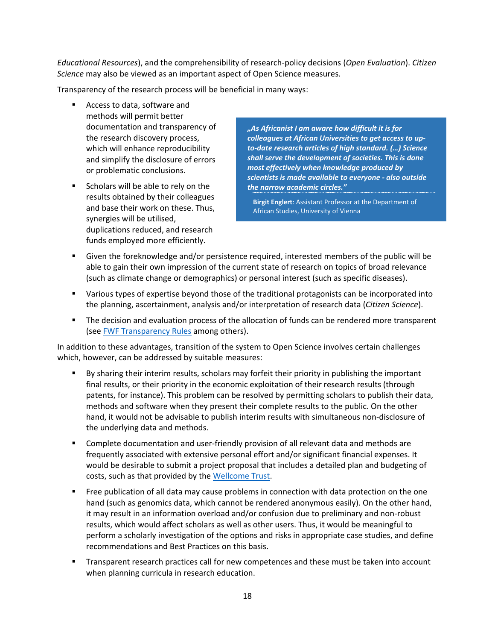*Educational Resources*), and the comprehensibility of research-policy decisions (*Open Evaluation*). *Citizen Science* may also be viewed as an important aspect of Open Science measures.

Transparency of the research process will be beneficial in many ways:

- Access to data, software and methods will permit better documentation and transparency of the research discovery process, which will enhance reproducibility and simplify the disclosure of errors or problematic conclusions.
- Scholars will be able to rely on the results obtained by their colleagues and base their work on these. Thus, synergies will be utilised, duplications reduced, and research funds employed more efficiently.

*"As Africanist I am aware how difficult it is for colleagues at African Universities to get access to upto-date research articles of high standard. (…) Science shall serve the development of societies. This is done most effectively when knowledge produced by scientists is made available to everyone - also outside the narrow academic circles."*

**Birgit Englert**: Assistant Professor at the Department of African Studies, University of Vienna

- Given the foreknowledge and/or persistence required, interested members of the public will be able to gain their own impression of the current state of research on topics of broad relevance (such as climate change or demographics) or personal interest (such as specific diseases).
- Various types of expertise beyond those of the traditional protagonists can be incorporated into the planning, ascertainment, analysis and/or interpretation of research data (*Citizen Science*).
- The decision and evaluation process of the allocation of funds can be rendered more transparent (see [FWF Transparency Rules](https://www.fwf.ac.at/en/research-funding/decision-making-procedure/evaluation-standards/quality-and-transparency-rules-for-evaluations/) among others).

In addition to these advantages, transition of the system to Open Science involves certain challenges which, however, can be addressed by suitable measures:

- By sharing their interim results, scholars may forfeit their priority in publishing the important final results, or their priority in the economic exploitation of their research results (through patents, for instance). This problem can be resolved by permitting scholars to publish their data, methods and software when they present their complete results to the public. On the other hand, it would not be advisable to publish interim results with simultaneous non-disclosure of the underlying data and methods.
- Complete documentation and user-friendly provision of all relevant data and methods are frequently associated with extensive personal effort and/or significant financial expenses. It would be desirable to submit a project proposal that includes a detailed plan and budgeting of costs, such as that provided by the [Wellcome Trust.](http://www.wellcome.ac.uk/about-us/policy/policy-and-position-statements/wtx035043.htm)
- Free publication of all data may cause problems in connection with data protection on the one hand (such as genomics data, which cannot be rendered anonymous easily). On the other hand, it may result in an information overload and/or confusion due to preliminary and non-robust results, which would affect scholars as well as other users. Thus, it would be meaningful to perform a scholarly investigation of the options and risks in appropriate case studies, and define recommendations and Best Practices on this basis.
- Transparent research practices call for new competences and these must be taken into account when planning curricula in research education.